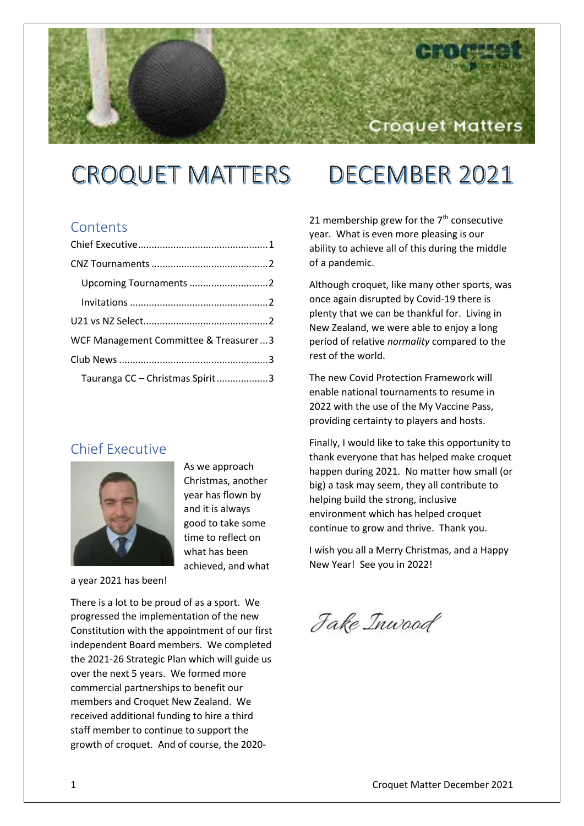# Croquet Matters

### **CROQUET MATTERS** DECEMBER 2021

### **Contents**

| WCF Management Committee & Treasurer3 |
|---------------------------------------|
|                                       |
| Tauranga CC - Christmas Spirit3       |

### <span id="page-0-0"></span>Chief Executive



As we approach Christmas, another year has flown by and it is always good to take some time to reflect on what has been achieved, and what

#### a year 2021 has been!

There is a lot to be proud of as a sport. We progressed the implementation of the new Constitution with the appointment of our first independent Board members. We completed the 2021-26 Strategic Plan which will guide us over the next 5 years. We formed more commercial partnerships to benefit our members and Croquet New Zealand. We received additional funding to hire a third staff member to continue to support the growth of croquet. And of course, the 2020-

21 membership grew for the  $7<sup>th</sup>$  consecutive year. What is even more pleasing is our ability to achieve all of this during the middle of a pandemic.

Although croquet, like many other sports, was once again disrupted by Covid-19 there is plenty that we can be thankful for. Living in New Zealand, we were able to enjoy a long period of relative *normality* compared to the rest of the world.

The new Covid Protection Framework will enable national tournaments to resume in 2022 with the use of the My Vaccine Pass, providing certainty to players and hosts.

Finally, I would like to take this opportunity to thank everyone that has helped make croquet happen during 2021. No matter how small (or big) a task may seem, they all contribute to helping build the strong, inclusive environment which has helped croquet continue to grow and thrive. Thank you.

I wish you all a Merry Christmas, and a Happy New Year! See you in 2022!

Jake Inwood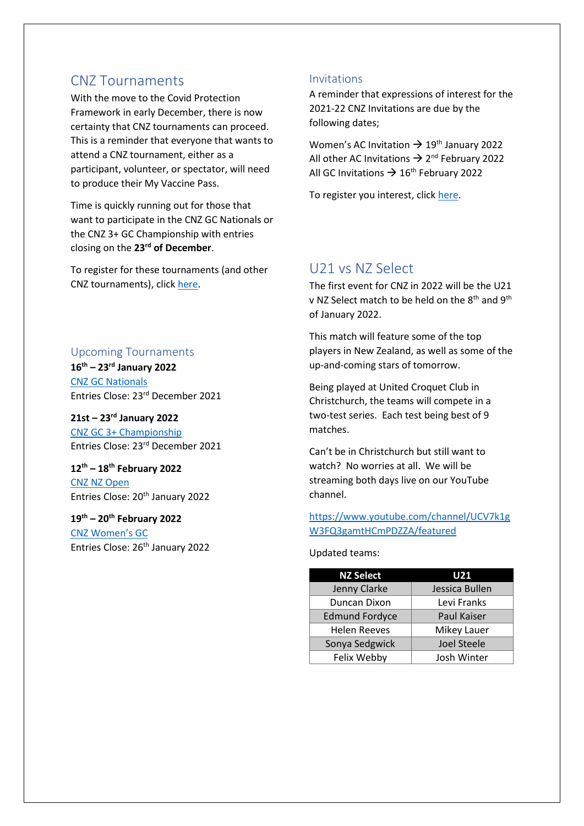### <span id="page-1-0"></span>CNZ Tournaments

With the move to the Covid Protection Framework in early December, there is now certainty that CNZ tournaments can proceed. This is a reminder that everyone that wants to attend a CNZ tournament, either as a participant, volunteer, or spectator, will need to produce their My Vaccine Pass.

Time is quickly running out for those that want to participate in the CNZ GC Nationals or the CNZ 3+ GC Championship with entries closing on the **23rd of December**.

To register for these tournaments (and other CNZ tournaments), click [here.](https://eventdesq.sportstg.com/index.cfm?fuseaction=main&EventDesqID=37180&OrgID=4277)

#### <span id="page-1-1"></span>Upcoming Tournaments

**16th – 23rd January 2022** [CNZ GC Nationals](https://croquet.org.nz/tournament/gc-nationals/) Entries Close: 23rd December 2021

#### **21st – 23rd January 2022**

[CNZ GC 3+ Championship](https://croquet.org.nz/tournament/gc-3/) Entries Close: 23rd December 2021

### **12th – 18th February 2022**

[CNZ NZ Open](https://croquet.org.nz/tournament/new-zealand-open/) Entries Close: 20<sup>th</sup> January 2022

#### **19th – 20th February 2022**

[CNZ Women's GC](https://croquet.org.nz/tournament/25-26-november-2017-womens-gc-tournament/) Entries Close: 26<sup>th</sup> January 2022

#### <span id="page-1-2"></span>Invitations

A reminder that expressions of interest for the 2021-22 CNZ Invitations are due by the following dates;

Women's AC Invitation  $\rightarrow$  19<sup>th</sup> January 2022 All other AC Invitations  $\rightarrow$  2<sup>nd</sup> February 2022 All GC Invitations  $\rightarrow$  16<sup>th</sup> February 2022

To register you interest, clic[k here.](https://eventdesq.sportstg.com/index.cfm?fuseaction=main&EventDesqID=37915&OrgID=4277)

### <span id="page-1-3"></span>U21 vs NZ Select

The first event for CNZ in 2022 will be the U21 v NZ Select match to be held on the 8<sup>th</sup> and 9<sup>th</sup> of January 2022.

This match will feature some of the top players in New Zealand, as well as some of the up-and-coming stars of tomorrow.

Being played at United Croquet Club in Christchurch, the teams will compete in a two-test series. Each test being best of 9 matches.

Can't be in Christchurch but still want to watch? No worries at all. We will be streaming both days live on our YouTube channel.

#### [https://www.youtube.com/channel/UCV7k1g](https://www.youtube.com/channel/UCV7k1gW3FQ3gamtHCmPDZZA/featured) [W3FQ3gamtHCmPDZZA/featured](https://www.youtube.com/channel/UCV7k1gW3FQ3gamtHCmPDZZA/featured)

#### Updated teams:

| <b>NZ Select</b>      | U21                |
|-----------------------|--------------------|
| Jenny Clarke          | Jessica Bullen     |
| Duncan Dixon          | Levi Franks        |
| <b>Edmund Fordyce</b> | <b>Paul Kaiser</b> |
| <b>Helen Reeves</b>   | Mikey Lauer        |
| Sonya Sedgwick        | <b>Joel Steele</b> |
| Felix Webby           | Josh Winter        |